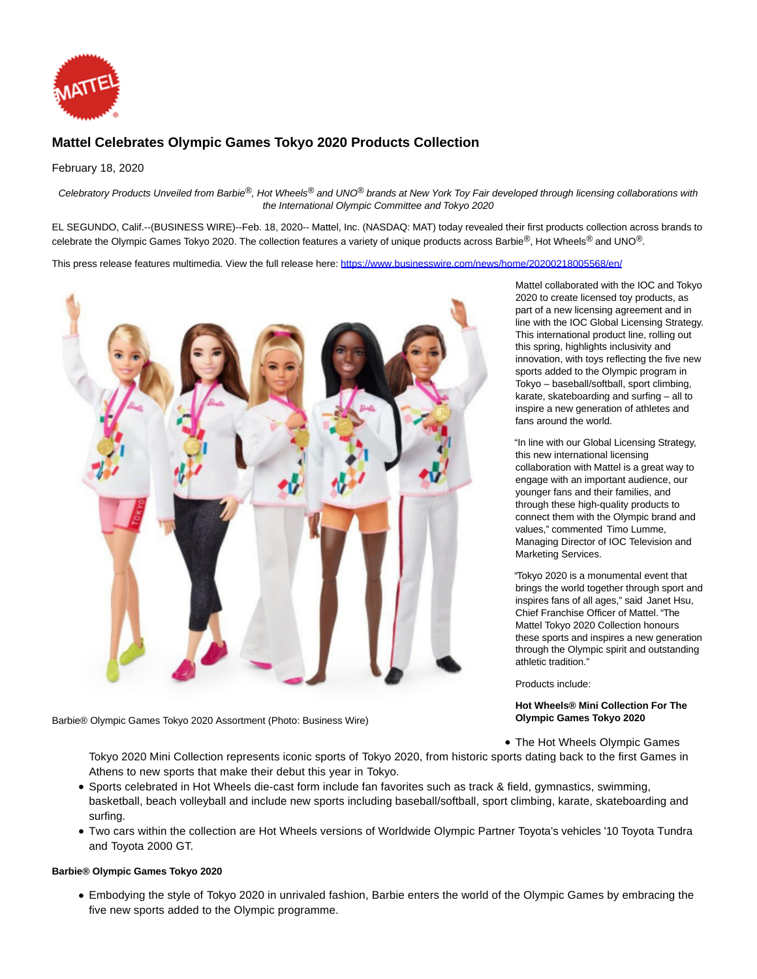

# **Mattel Celebrates Olympic Games Tokyo 2020 Products Collection**

February 18, 2020

Celebratory Products Unveiled from Barbie®, Hot Wheels® and UNO® brands at New York Toy Fair developed through licensing collaborations with the International Olympic Committee and Tokyo 2020

EL SEGUNDO, Calif.--(BUSINESS WIRE)--Feb. 18, 2020-- Mattel, Inc. (NASDAQ: MAT) today revealed their first products collection across brands to celebrate the Olympic Games Tokyo 2020. The collection features a variety of unique products across Barbie®, Hot Wheels® and UNO®.

This press release features multimedia. View the full release here:<https://www.businesswire.com/news/home/20200218005568/en/>



Barbie® Olympic Games Tokyo 2020 Assortment (Photo: Business Wire)

Mattel collaborated with the IOC and Tokyo 2020 to create licensed toy products, as part of a new licensing agreement and in line with the IOC Global Licensing Strategy. This international product line, rolling out this spring, highlights inclusivity and innovation, with toys reflecting the five new sports added to the Olympic program in Tokyo – baseball/softball, sport climbing, karate, skateboarding and surfing – all to inspire a new generation of athletes and fans around the world.

"In line with our Global Licensing Strategy, this new international licensing collaboration with Mattel is a great way to engage with an important audience, our younger fans and their families, and through these high-quality products to connect them with the Olympic brand and values," commented Timo Lumme, Managing Director of IOC Television and Marketing Services.

"Tokyo 2020 is a monumental event that brings the world together through sport and inspires fans of all ages," said Janet Hsu, Chief Franchise Officer of Mattel. "The Mattel Tokyo 2020 Collection honours these sports and inspires a new generation through the Olympic spirit and outstanding athletic tradition."

Products include:

**Hot Wheels® Mini Collection For The Olympic Games Tokyo 2020**

• The Hot Wheels Olympic Games

Tokyo 2020 Mini Collection represents iconic sports of Tokyo 2020, from historic sports dating back to the first Games in Athens to new sports that make their debut this year in Tokyo.

- Sports celebrated in Hot Wheels die-cast form include fan favorites such as track & field, gymnastics, swimming, basketball, beach volleyball and include new sports including baseball/softball, sport climbing, karate, skateboarding and surfing.
- Two cars within the collection are Hot Wheels versions of Worldwide Olympic Partner Toyota's vehicles '10 Toyota Tundra and Toyota 2000 GT.

# **Barbie® Olympic Games Tokyo 2020**

Embodying the style of Tokyo 2020 in unrivaled fashion, Barbie enters the world of the Olympic Games by embracing the five new sports added to the Olympic programme.